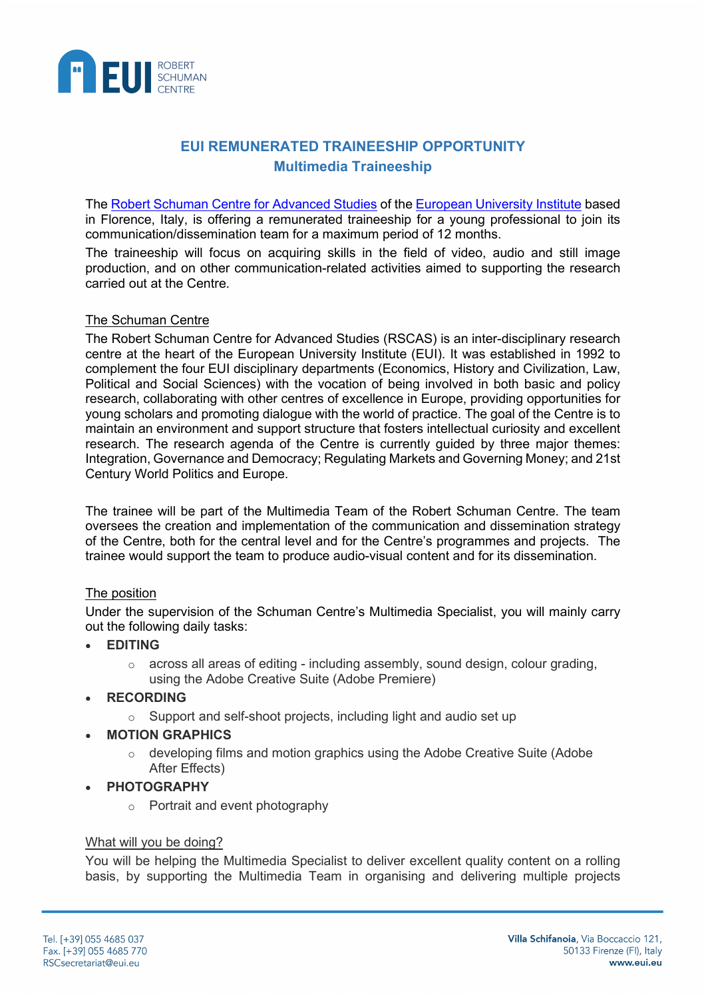

# **EUI REMUNERATED TRAINEESHIP OPPORTUNITY Multimedia Traineeship**

The [Robert Schuman Centre for Advanced Studies](http://www.eui.eu/rscas) of th[e European University Institute](https://www.eui.eu/About) based in Florence, Italy, is offering a remunerated traineeship for a young professional to join its communication/dissemination team for a maximum period of 12 months.

The traineeship will focus on acquiring skills in the field of video, audio and still image production, and on other communication-related activities aimed to supporting the research carried out at the Centre.

# The Schuman Centre

The Robert Schuman Centre for Advanced Studies (RSCAS) is an inter-disciplinary research centre at the heart of the European University Institute (EUI). It was established in 1992 to complement the four EUI disciplinary departments (Economics, History and Civilization, Law, Political and Social Sciences) with the vocation of being involved in both basic and policy research, collaborating with other centres of excellence in Europe, providing opportunities for young scholars and promoting dialogue with the world of practice. The goal of the Centre is to maintain an environment and support structure that fosters intellectual curiosity and excellent research. The research agenda of the Centre is currently guided by three major themes: Integration, Governance and Democracy; Regulating Markets and Governing Money; and 21st Century World Politics and Europe.

The trainee will be part of the Multimedia Team of the Robert Schuman Centre. The team oversees the creation and implementation of the communication and dissemination strategy of the Centre, both for the central level and for the Centre's programmes and projects. The trainee would support the team to produce audio-visual content and for its dissemination.

### The position

Under the supervision of the Schuman Centre's Multimedia Specialist, you will mainly carry out the following daily tasks:

- **EDITING**
	- o across all areas of editing including assembly, sound design, colour grading, using the Adobe Creative Suite (Adobe Premiere)
- **RECORDING**
	- $\circ$  Support and self-shoot projects, including light and audio set up
- **MOTION GRAPHICS**
	- o developing films and motion graphics using the Adobe Creative Suite (Adobe After Effects)
- **PHOTOGRAPHY**
	- o Portrait and event photography

### What will you be doing?

You will be helping the Multimedia Specialist to deliver excellent quality content on a rolling basis, by supporting the Multimedia Team in organising and delivering multiple projects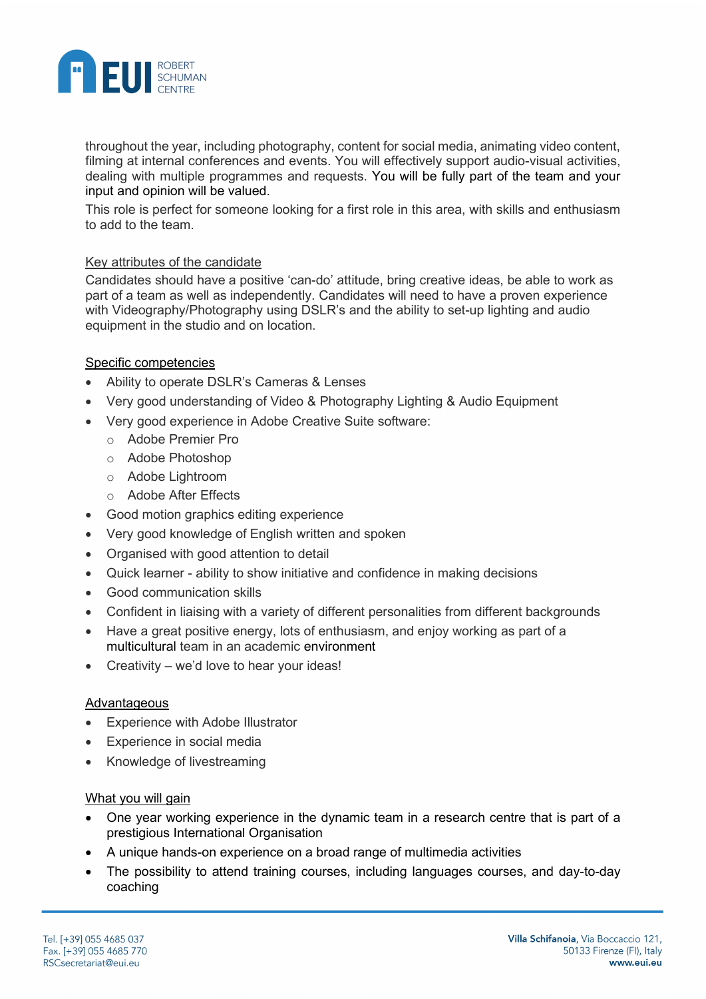

throughout the year, including photography, content for social media, animating video content, filming at internal conferences and events. You will effectively support audio-visual activities, dealing with multiple programmes and requests. You will be fully part of the team and your input and opinion will be valued.

This role is perfect for someone looking for a first role in this area, with skills and enthusiasm to add to the team.

# Key attributes of the candidate

Candidates should have a positive 'can-do' attitude, bring creative ideas, be able to work as part of a team as well as independently. Candidates will need to have a proven experience with Videography/Photography using DSLR's and the ability to set-up lighting and audio equipment in the studio and on location.

### Specific competencies

- Ability to operate DSLR's Cameras & Lenses
- Very good understanding of Video & Photography Lighting & Audio Equipment
- Very good experience in Adobe Creative Suite software:
	- o Adobe Premier Pro
	- o Adobe Photoshop
	- o Adobe Lightroom
	- o Adobe After Effects
- Good motion graphics editing experience
- Very good knowledge of English written and spoken
- Organised with good attention to detail
- Quick learner ability to show initiative and confidence in making decisions
- Good communication skills
- Confident in liaising with a variety of different personalities from different backgrounds
- Have a great positive energy, lots of enthusiasm, and enjoy working as part of a multicultural team in an academic environment
- Creativity we'd love to hear your ideas!

### Advantageous

- Experience with Adobe Illustrator
- Experience in social media
- Knowledge of livestreaming

### What you will gain

- One year working experience in the dynamic team in a research centre that is part of a prestigious International Organisation
- A unique hands-on experience on a broad range of multimedia activities
- The possibility to attend training courses, including languages courses, and day-to-day coaching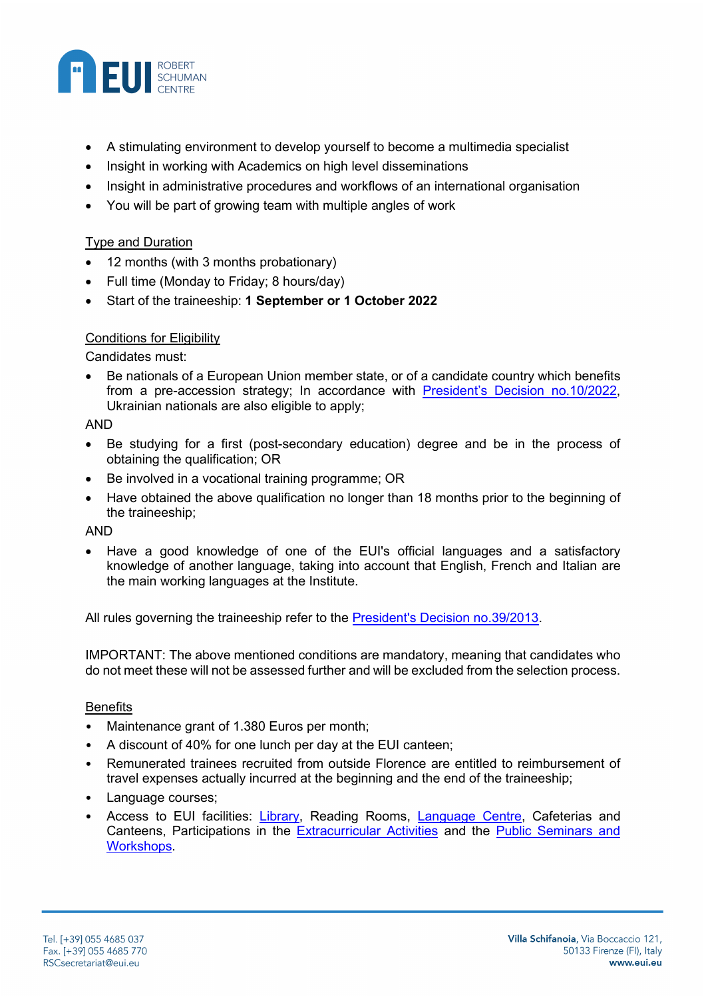

- A stimulating environment to develop yourself to become a multimedia specialist
- Insight in working with Academics on high level disseminations
- Insight in administrative procedures and workflows of an international organisation
- You will be part of growing team with multiple angles of work

### Type and Duration

- 12 months (with 3 months probationary)
- Full time (Monday to Friday; 8 hours/day)
- Start of the traineeship: **1 September or 1 October 2022**

### Conditions for Eligibility

Candidates must:

• Be nationals of a European Union member state, or of a candidate country which benefits from a pre-accession strategy; In accordance with [President's Decision no.10/2022,](https://www.eui.eu/Documents/AboutEUI/JobOpportunities/PD-10-2022.pdf) Ukrainian nationals are also eligible to apply;

#### AND

- Be studying for a first (post-secondary education) degree and be in the process of obtaining the qualification; OR
- Be involved in a vocational training programme; OR
- Have obtained the above qualification no longer than 18 months prior to the beginning of the traineeship;

#### AND

• Have a good knowledge of one of the EUI's official languages and a satisfactory knowledge of another language, taking into account that English, French and Italian are the main working languages at the Institute.

All rules governing the traineeship refer to the [President's Decision no.39/2013.](https://www.eui.eu/Documents/AboutEUI/JobOpportunities/Dec39-Traineeships.pdf)

IMPORTANT: The above mentioned conditions are mandatory, meaning that candidates who do not meet these will not be assessed further and will be excluded from the selection process.

### **Benefits**

- Maintenance grant of 1.380 Euros per month;
- A discount of 40% for one lunch per day at the EUI canteen;
- Remunerated trainees recruited from outside Florence are entitled to reimbursement of travel expenses actually incurred at the beginning and the end of the traineeship;
- Language courses;
- Access to EUI facilities: [Library,](https://www.eui.eu/en/services/library) Reading Rooms, [Language Centre,](https://www.eui.eu/en/services/academic-service/language-centre) Cafeterias and Canteens, Participations in the [Extracurricular Activities](https://www.eui.eu/ServicesAndAdmin/ExtracurricularActivities) and the [Public Seminars and](https://www.eui.eu/events)  [Workshops.](https://www.eui.eu/events)